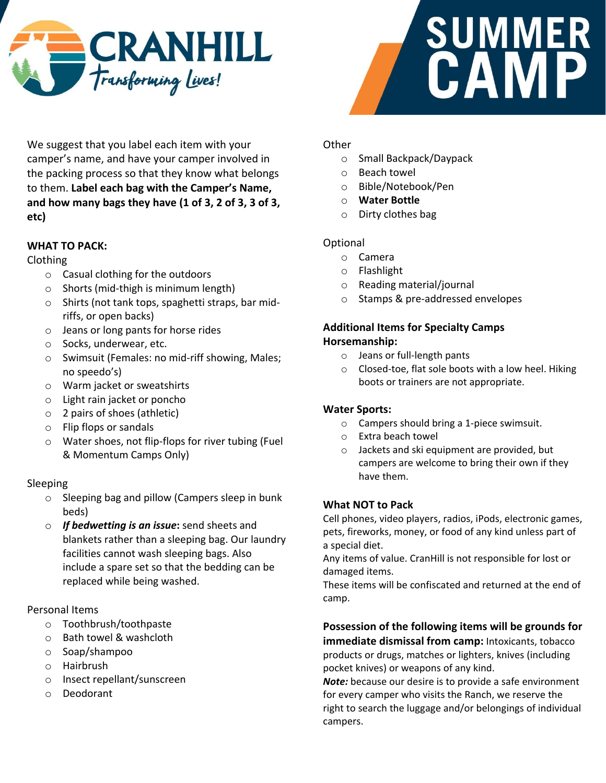



We suggest that you label each item with your camper's name, and have your camper involved in the packing process so that they know what belongs to them. **Label each bag with the Camper's Name, and how many bags they have (1 of 3, 2 of 3, 3 of 3, etc)**

# **WHAT TO PACK:**

## Clothing

- o Casual clothing for the outdoors
- o Shorts (mid-thigh is minimum length)
- o Shirts (not tank tops, spaghetti straps, bar midriffs, or open backs)
- o Jeans or long pants for horse rides
- o Socks, underwear, etc.
- o Swimsuit (Females: no mid-riff showing, Males; no speedo's)
- o Warm jacket or sweatshirts
- o Light rain jacket or poncho
- o 2 pairs of shoes (athletic)
- o Flip flops or sandals
- o Water shoes, not flip-flops for river tubing (Fuel & Momentum Camps Only)

## Sleeping

- o Sleeping bag and pillow (Campers sleep in bunk beds)
- o *If bedwetting is an issue***:** send sheets and blankets rather than a sleeping bag. Our laundry facilities cannot wash sleeping bags. Also include a spare set so that the bedding can be replaced while being washed.

## Personal Items

- o Toothbrush/toothpaste
- o Bath towel & washcloth
- o Soap/shampoo
- o Hairbrush
- o Insect repellant/sunscreen
- o Deodorant

# **Other**

- o Small Backpack/Daypack
- o Beach towel
- o Bible/Notebook/Pen
- o **Water Bottle**
- o Dirty clothes bag

## Optional

- o Camera
- o Flashlight
- o Reading material/journal
- o Stamps & pre-addressed envelopes

### **Additional Items for Specialty Camps Horsemanship:**

- o Jeans or full-length pants
- o Closed-toe, flat sole boots with a low heel. Hiking boots or trainers are not appropriate.

## **Water Sports:**

- o Campers should bring a 1-piece swimsuit.
- o Extra beach towel
- o Jackets and ski equipment are provided, but campers are welcome to bring their own if they have them.

## **What NOT to Pack**

Cell phones, video players, radios, iPods, electronic games, pets, fireworks, money, or food of any kind unless part of a special diet.

Any items of value. CranHill is not responsible for lost or damaged items.

These items will be confiscated and returned at the end of camp.

**Possession of the following items will be grounds for immediate dismissal from camp:** Intoxicants, tobacco products or drugs, matches or lighters, knives (including pocket knives) or weapons of any kind.

*Note:* because our desire is to provide a safe environment for every camper who visits the Ranch, we reserve the right to search the luggage and/or belongings of individual campers.